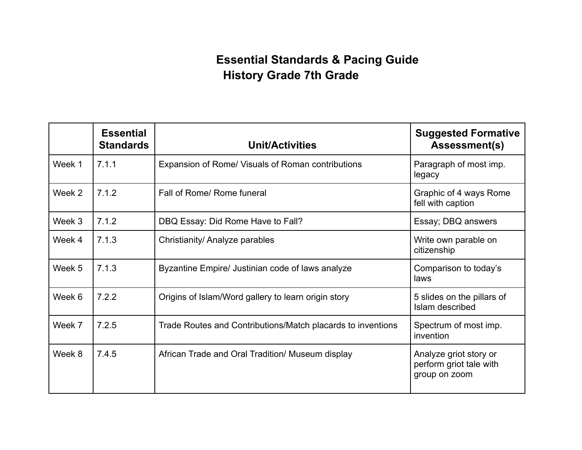## **Essential Standards & Pacing Guide History Grade 7th Grade**

|        | <b>Essential</b><br><b>Standards</b> | <b>Unit/Activities</b>                                      | <b>Suggested Formative</b><br><b>Assessment(s)</b>                 |
|--------|--------------------------------------|-------------------------------------------------------------|--------------------------------------------------------------------|
| Week 1 | 7.1.1                                | Expansion of Rome/ Visuals of Roman contributions           | Paragraph of most imp.<br>legacy                                   |
| Week 2 | 7.1.2                                | Fall of Rome/ Rome funeral                                  | Graphic of 4 ways Rome<br>fell with caption                        |
| Week 3 | 7.1.2                                | DBQ Essay: Did Rome Have to Fall?                           | Essay; DBQ answers                                                 |
| Week 4 | 7.1.3                                | Christianity/ Analyze parables                              | Write own parable on<br>citizenship                                |
| Week 5 | 7.1.3                                | Byzantine Empire/ Justinian code of laws analyze            | Comparison to today's<br>laws                                      |
| Week 6 | 7.2.2                                | Origins of Islam/Word gallery to learn origin story         | 5 slides on the pillars of<br>Islam described                      |
| Week 7 | 7.2.5                                | Trade Routes and Contributions/Match placards to inventions | Spectrum of most imp.<br>invention                                 |
| Week 8 | 7.4.5                                | African Trade and Oral Tradition/ Museum display            | Analyze griot story or<br>perform griot tale with<br>group on zoom |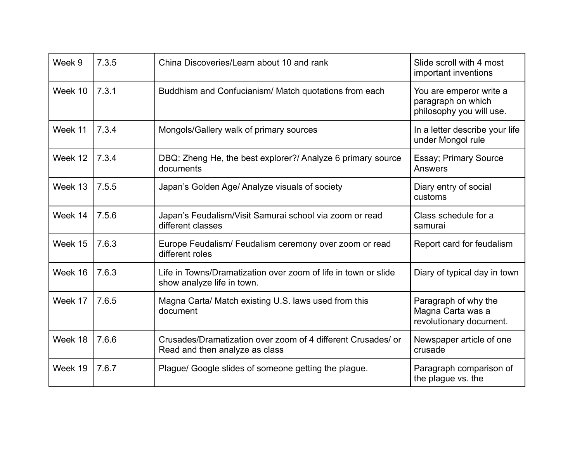| Week 9  | 7.3.5 | China Discoveries/Learn about 10 and rank                                                      | Slide scroll with 4 most<br>important inventions                          |
|---------|-------|------------------------------------------------------------------------------------------------|---------------------------------------------------------------------------|
| Week 10 | 7.3.1 | Buddhism and Confucianism/ Match quotations from each                                          | You are emperor write a<br>paragraph on which<br>philosophy you will use. |
| Week 11 | 7.3.4 | Mongols/Gallery walk of primary sources                                                        | In a letter describe your life<br>under Mongol rule                       |
| Week 12 | 7.3.4 | DBQ: Zheng He, the best explorer?/ Analyze 6 primary source<br>documents                       | <b>Essay; Primary Source</b><br>Answers                                   |
| Week 13 | 7.5.5 | Japan's Golden Age/ Analyze visuals of society                                                 | Diary entry of social<br>customs                                          |
| Week 14 | 7.5.6 | Japan's Feudalism/Visit Samurai school via zoom or read<br>different classes                   | Class schedule for a<br>samurai                                           |
| Week 15 | 7.6.3 | Europe Feudalism/ Feudalism ceremony over zoom or read<br>different roles                      | Report card for feudalism                                                 |
| Week 16 | 7.6.3 | Life in Towns/Dramatization over zoom of life in town or slide<br>show analyze life in town.   | Diary of typical day in town                                              |
| Week 17 | 7.6.5 | Magna Carta/ Match existing U.S. laws used from this<br>document                               | Paragraph of why the<br>Magna Carta was a<br>revolutionary document.      |
| Week 18 | 7.6.6 | Crusades/Dramatization over zoom of 4 different Crusades/ or<br>Read and then analyze as class | Newspaper article of one<br>crusade                                       |
| Week 19 | 7.6.7 | Plague/ Google slides of someone getting the plague.                                           | Paragraph comparison of<br>the plague vs. the                             |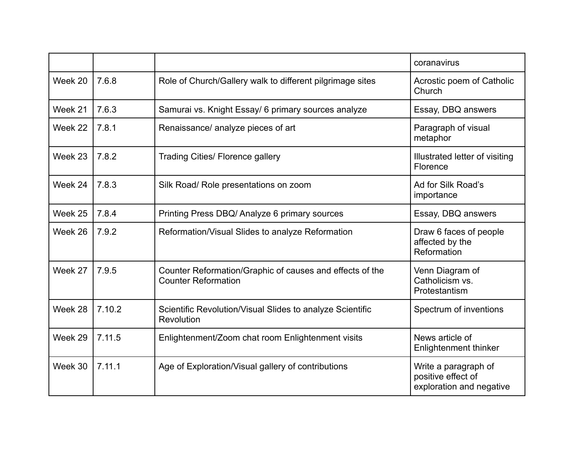|         |        |                                                                                        | coranavirus                                                            |
|---------|--------|----------------------------------------------------------------------------------------|------------------------------------------------------------------------|
| Week 20 | 7.6.8  | Role of Church/Gallery walk to different pilgrimage sites                              | Acrostic poem of Catholic<br>Church                                    |
| Week 21 | 7.6.3  | Samurai vs. Knight Essay/ 6 primary sources analyze                                    | Essay, DBQ answers                                                     |
| Week 22 | 7.8.1  | Renaissance/ analyze pieces of art                                                     | Paragraph of visual<br>metaphor                                        |
| Week 23 | 7.8.2  | <b>Trading Cities/ Florence gallery</b>                                                | Illustrated letter of visiting<br>Florence                             |
| Week 24 | 7.8.3  | Silk Road/ Role presentations on zoom                                                  | Ad for Silk Road's<br>importance                                       |
| Week 25 | 7.8.4  | Printing Press DBQ/ Analyze 6 primary sources                                          | Essay, DBQ answers                                                     |
| Week 26 | 7.9.2  | Reformation/Visual Slides to analyze Reformation                                       | Draw 6 faces of people<br>affected by the<br>Reformation               |
| Week 27 | 7.9.5  | Counter Reformation/Graphic of causes and effects of the<br><b>Counter Reformation</b> | Venn Diagram of<br>Catholicism vs.<br>Protestantism                    |
| Week 28 | 7.10.2 | Scientific Revolution/Visual Slides to analyze Scientific<br>Revolution                | Spectrum of inventions                                                 |
| Week 29 | 7.11.5 | Enlightenment/Zoom chat room Enlightenment visits                                      | News article of<br><b>Enlightenment thinker</b>                        |
| Week 30 | 7.11.1 | Age of Exploration/Visual gallery of contributions                                     | Write a paragraph of<br>positive effect of<br>exploration and negative |